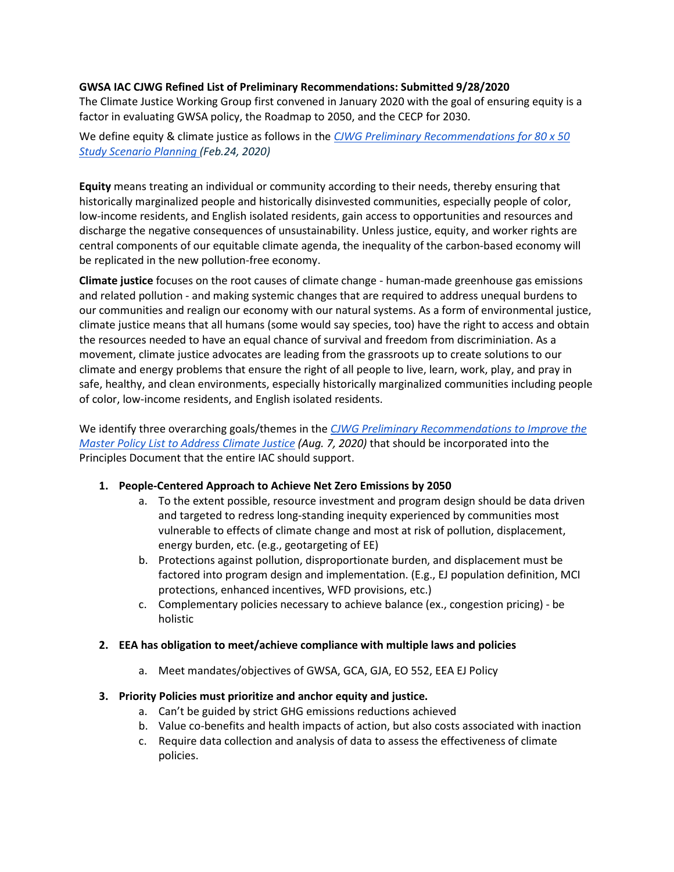#### **GWSA IAC CJWG Refined List of Preliminary Recommendations: Submitted 9/28/2020**

The Climate Justice Working Group first convened in January 2020 with the goal of ensuring equity is a factor in evaluating GWSA policy, the Roadmap to 2050, and the CECP for 2030.

We define equity & climate justice as follows in the *[CJWG Preliminary Recommendations for 80 x 50](https://www.mass.gov/doc/gwsa-iac-climate-justice-working-group-memo/download)  [Study Scenario Planning](https://www.mass.gov/doc/gwsa-iac-climate-justice-working-group-memo/download) (Feb.24, 2020)*

**Equity** means treating an individual or community according to their needs, thereby ensuring that historically marginalized people and historically disinvested communities, especially people of color, low-income residents, and English isolated residents, gain access to opportunities and resources and discharge the negative consequences of unsustainability. Unless justice, equity, and worker rights are central components of our equitable climate agenda, the inequality of the carbon-based economy will be replicated in the new pollution-free economy.

**Climate justice** focuses on the root causes of climate change - human-made greenhouse gas emissions and related pollution - and making systemic changes that are required to address unequal burdens to our communities and realign our economy with our natural systems. As a form of environmental justice, climate justice means that all humans (some would say species, too) have the right to access and obtain the resources needed to have an equal chance of survival and freedom from discriminiation. As a movement, climate justice advocates are leading from the grassroots up to create solutions to our climate and energy problems that ensure the right of all people to live, learn, work, play, and pray in safe, healthy, and clean environments, especially historically marginalized communities including people of color, low-income residents, and English isolated residents.

We identify three overarching goals/themes in th[e](https://www.mass.gov/doc/climate-justice-working-group-policy-recommendations/download) *[CJWG Preliminary Recommendations to Improve the](https://www.mass.gov/doc/climate-justice-working-group-policy-recommendations/download)  [Master Policy List to Address Climate Justice](https://www.mass.gov/doc/climate-justice-working-group-policy-recommendations/download) (Aug. 7, 2020)* that should be incorporated into the Principles Document that the entire IAC should support.

#### **1. People-Centered Approach to Achieve Net Zero Emissions by 2050**

- a. To the extent possible, resource investment and program design should be data driven and targeted to redress long-standing inequity experienced by communities most vulnerable to effects of climate change and most at risk of pollution, displacement, energy burden, etc. (e.g., geotargeting of EE)
- b. Protections against pollution, disproportionate burden, and displacement must be factored into program design and implementation. (E.g., EJ population definition, MCI protections, enhanced incentives, WFD provisions, etc.)
- c. Complementary policies necessary to achieve balance (ex., congestion pricing) be holistic

#### **2. EEA has obligation to meet/achieve compliance with multiple laws and policies**

a. Meet mandates/objectives of GWSA, GCA, GJA, EO 552, EEA EJ Policy

# **3. Priority Policies must prioritize and anchor equity and justice.**

- a. Can't be guided by strict GHG emissions reductions achieved
- b. Value co-benefits and health impacts of action, but also costs associated with inaction
- c. Require data collection and analysis of data to assess the effectiveness of climate policies.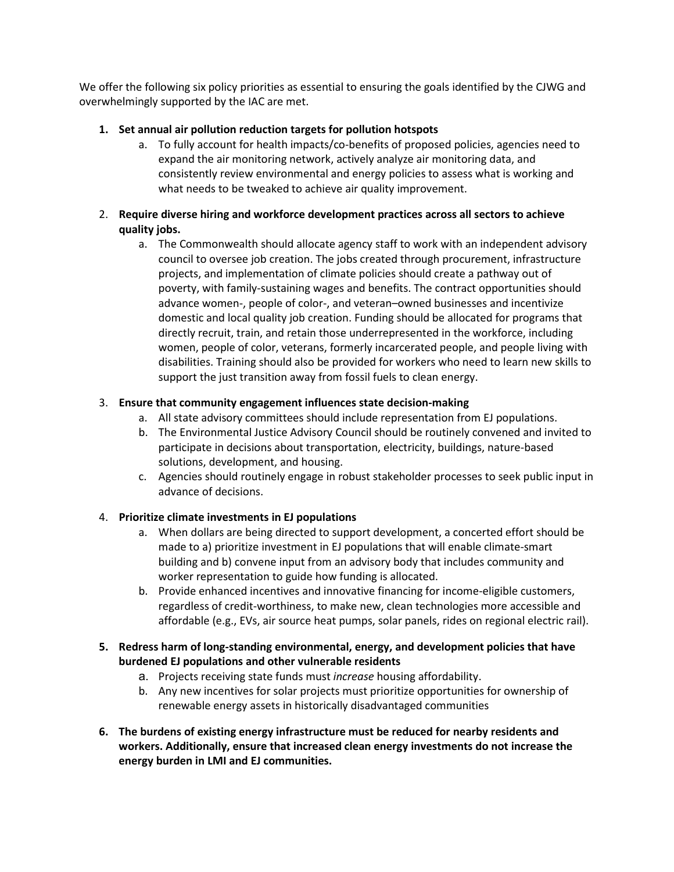We offer the following six policy priorities as essential to ensuring the goals identified by the CJWG and overwhelmingly supported by the IAC are met.

# **1. Set annual air pollution reduction targets for pollution hotspots**

a. To fully account for health impacts/co-benefits of proposed policies, agencies need to expand the air monitoring network, actively analyze air monitoring data, and consistently review environmental and energy policies to assess what is working and what needs to be tweaked to achieve air quality improvement.

# 2. **Require diverse hiring and workforce development practices across all sectors to achieve quality jobs.**

a. The Commonwealth should allocate agency staff to work with an independent advisory council to oversee job creation. The jobs created through procurement, infrastructure projects, and implementation of climate policies should create a pathway out of poverty, with family-sustaining wages and benefits. The contract opportunities should advance women-, people of color-, and veteran–owned businesses and incentivize domestic and local quality job creation. Funding should be allocated for programs that directly recruit, train, and retain those underrepresented in the workforce, including women, people of color, veterans, formerly incarcerated people, and people living with disabilities. Training should also be provided for workers who need to learn new skills to support the just transition away from fossil fuels to clean energy.

# 3. **Ensure that community engagement influences state decision-making**

- a. All state advisory committees should include representation from EJ populations.
- b. The Environmental Justice Advisory Council should be routinely convened and invited to participate in decisions about transportation, electricity, buildings, nature-based solutions, development, and housing.
- c. Agencies should routinely engage in robust stakeholder processes to seek public input in advance of decisions.

# 4. **Prioritize climate investments in EJ populations**

- a. When dollars are being directed to support development, a concerted effort should be made to a) prioritize investment in EJ populations that will enable climate-smart building and b) convene input from an advisory body that includes community and worker representation to guide how funding is allocated.
- b. Provide enhanced incentives and innovative financing for income-eligible customers, regardless of credit-worthiness, to make new, clean technologies more accessible and affordable (e.g., EVs, air source heat pumps, solar panels, rides on regional electric rail).

#### **5. Redress harm of long-standing environmental, energy, and development policies that have burdened EJ populations and other vulnerable residents**

- a. Projects receiving state funds must *increase* housing affordability.
- b. Any new incentives for solar projects must prioritize opportunities for ownership of renewable energy assets in historically disadvantaged communities
- **6. The burdens of existing energy infrastructure must be reduced for nearby residents and workers. Additionally, ensure that increased clean energy investments do not increase the energy burden in LMI and EJ communities.**